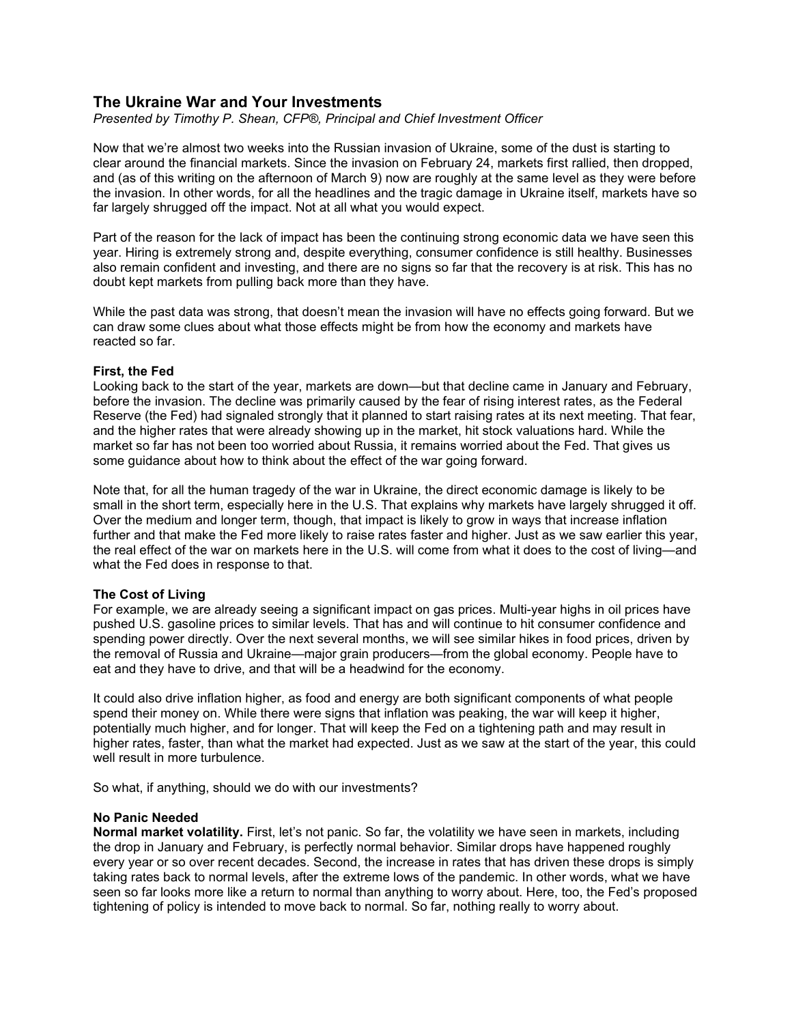# **The Ukraine War and Your Investments**

*Presented by Timothy P. Shean, CFP®, Principal and Chief Investment Officer*

Now that we're almost two weeks into the Russian invasion of Ukraine, some of the dust is starting to clear around the financial markets. Since the invasion on February 24, markets first rallied, then dropped, and (as of this writing on the afternoon of March 9) now are roughly at the same level as they were before the invasion. In other words, for all the headlines and the tragic damage in Ukraine itself, markets have so far largely shrugged off the impact. Not at all what you would expect.

Part of the reason for the lack of impact has been the continuing strong economic data we have seen this year. Hiring is extremely strong and, despite everything, consumer confidence is still healthy. Businesses also remain confident and investing, and there are no signs so far that the recovery is at risk. This has no doubt kept markets from pulling back more than they have.

While the past data was strong, that doesn't mean the invasion will have no effects going forward. But we can draw some clues about what those effects might be from how the economy and markets have reacted so far.

# **First, the Fed**

Looking back to the start of the year, markets are down—but that decline came in January and February, before the invasion. The decline was primarily caused by the fear of rising interest rates, as the Federal Reserve (the Fed) had signaled strongly that it planned to start raising rates at its next meeting. That fear, and the higher rates that were already showing up in the market, hit stock valuations hard. While the market so far has not been too worried about Russia, it remains worried about the Fed. That gives us some guidance about how to think about the effect of the war going forward.

Note that, for all the human tragedy of the war in Ukraine, the direct economic damage is likely to be small in the short term, especially here in the U.S. That explains why markets have largely shrugged it off. Over the medium and longer term, though, that impact is likely to grow in ways that increase inflation further and that make the Fed more likely to raise rates faster and higher. Just as we saw earlier this year, the real effect of the war on markets here in the U.S. will come from what it does to the cost of living—and what the Fed does in response to that.

# **The Cost of Living**

For example, we are already seeing a significant impact on gas prices. Multi-year highs in oil prices have pushed U.S. gasoline prices to similar levels. That has and will continue to hit consumer confidence and spending power directly. Over the next several months, we will see similar hikes in food prices, driven by the removal of Russia and Ukraine—major grain producers—from the global economy. People have to eat and they have to drive, and that will be a headwind for the economy.

It could also drive inflation higher, as food and energy are both significant components of what people spend their money on. While there were signs that inflation was peaking, the war will keep it higher, potentially much higher, and for longer. That will keep the Fed on a tightening path and may result in higher rates, faster, than what the market had expected. Just as we saw at the start of the year, this could well result in more turbulence

So what, if anything, should we do with our investments?

# **No Panic Needed**

**Normal market volatility.** First, let's not panic. So far, the volatility we have seen in markets, including the drop in January and February, is perfectly normal behavior. Similar drops have happened roughly every year or so over recent decades. Second, the increase in rates that has driven these drops is simply taking rates back to normal levels, after the extreme lows of the pandemic. In other words, what we have seen so far looks more like a return to normal than anything to worry about. Here, too, the Fed's proposed tightening of policy is intended to move back to normal. So far, nothing really to worry about.